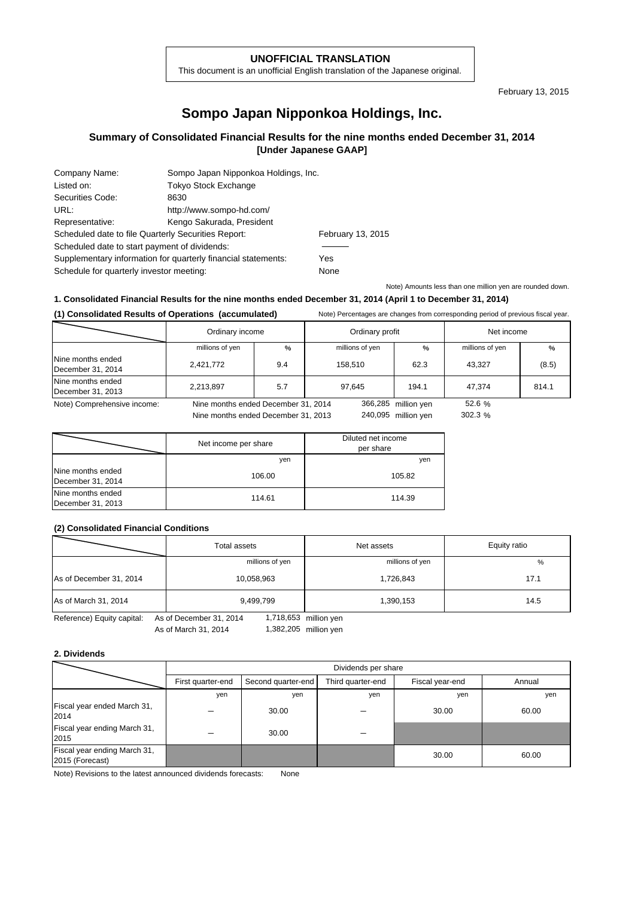### **UNOFFICIAL TRANSLATION**

This document is an unofficial English translation of the Japanese original.

February 13, 2015

# **Sompo Japan Nipponkoa Holdings, Inc.**

## **Summary of Consolidated Financial Results for the nine months ended December 31, 2014 [Under Japanese GAAP]**

| Company Name:                                                 | Sompo Japan Nipponkoa Holdings, Inc. |      |
|---------------------------------------------------------------|--------------------------------------|------|
| Listed on:                                                    | <b>Tokyo Stock Exchange</b>          |      |
| Securities Code:                                              | 8630                                 |      |
| URL:                                                          | http://www.sompo-hd.com/             |      |
| Representative:                                               | Kengo Sakurada, President            |      |
| Scheduled date to file Quarterly Securities Report:           | February 13, 2015                    |      |
| Scheduled date to start payment of dividends:                 |                                      |      |
| Supplementary information for quarterly financial statements: | Yes                                  |      |
| Schedule for quarterly investor meeting:                      |                                      | None |
|                                                               |                                      |      |

Note) Amounts less than one million yen are rounded down.

### **1. Consolidated Financial Results for the nine months ended December 31, 2014 (April 1 to December 31, 2014)**

**(1) Consolidated Results of Operations (accumulated)** Note) Percentages are changes from corresponding period of previous fiscal year.

|                                        | Ordinary income                     | Ordinary profit |                 | Net income          |                 |       |
|----------------------------------------|-------------------------------------|-----------------|-----------------|---------------------|-----------------|-------|
|                                        | millions of yen                     | %               | millions of yen | $\%$                | millions of yen | %     |
| Nine months ended<br>December 31, 2014 | 2,421,772                           | 9.4             | 158.510         | 62.3                | 43.327          | (8.5) |
| Nine months ended<br>December 31, 2013 | 2,213,897                           | 5.7             | 97.645          | 194.1               | 47.374          | 814.1 |
| Note) Comprehensive income:            | Nine months ended December 31, 2014 |                 |                 | 366,285 million yen | 52.6 %          |       |
|                                        | Nine months ended December 31, 2013 |                 |                 | 240,095 million ven | 302.3%          |       |

|                                        | Net income per share | Diluted net income<br>per share |
|----------------------------------------|----------------------|---------------------------------|
|                                        | yen                  | yen                             |
| Nine months ended<br>December 31, 2014 | 106.00               | 105.82                          |
| Nine months ended<br>December 31, 2013 | 114.61               | 114.39                          |

### **(2) Consolidated Financial Conditions**

|                         | <b>Total assets</b> | Net assets      | Equity ratio |  |
|-------------------------|---------------------|-----------------|--------------|--|
|                         | millions of yen     | millions of yen | %            |  |
| As of December 31, 2014 | 10,058,963          | 1,726,843       | 17.1         |  |
| As of March 31, 2014    | 9,499,799           | 1,390,153       | 14.5         |  |

Reference) Equity capital: As of December 31, 2014

As of March 31, 2014 1,382,205 million yen 1,718,653

#### **2. Dividends**

|                                                 | Dividends per share |                    |                   |                 |        |  |
|-------------------------------------------------|---------------------|--------------------|-------------------|-----------------|--------|--|
|                                                 | First quarter-end   | Second quarter-end | Third quarter-end | Fiscal year-end | Annual |  |
|                                                 | yen                 | yen                | yen               | yen             | yen    |  |
| Fiscal year ended March 31,<br>2014             |                     | 30.00              |                   | 30.00           | 60.00  |  |
| Fiscal year ending March 31,<br>2015            |                     | 30.00              |                   |                 |        |  |
| Fiscal year ending March 31,<br>2015 (Forecast) |                     |                    |                   | 30.00           | 60.00  |  |

Note) Revisions to the latest announced dividends forecasts: None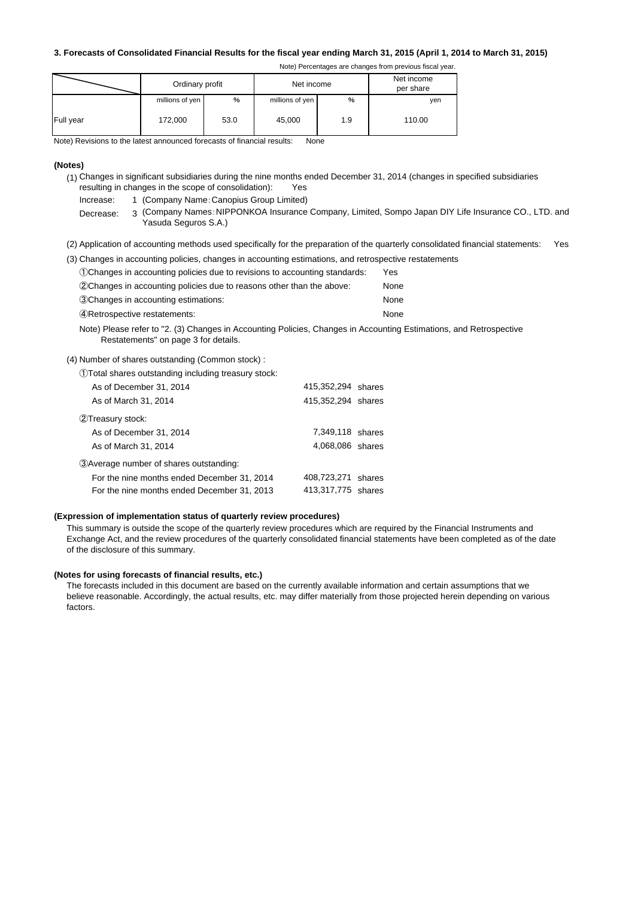### **3. Forecasts of Consolidated Financial Results for the fiscal year ending March 31, 2015 (April 1, 2014 to March 31, 2015)**

| Note) Percentages are changes from previous fiscal year |  |  |  |
|---------------------------------------------------------|--|--|--|
|                                                         |  |  |  |

|           | Ordinary profit |      | Net income      |     | Net income<br>per share |
|-----------|-----------------|------|-----------------|-----|-------------------------|
|           | millions of yen | %    | millions of yen | %   | yen                     |
| Full year | 172,000         | 53.0 | 45,000          | 1.9 | 110.00                  |

Note) Revisions to the latest announced forecasts of financial results: None

#### **(Notes)**

- (1) Changes in significant subsidiaries during the nine months ended December 31, 2014 (changes in specified subsidiaries resulting in changes in the scope of consolidation): Yes
	- Increase: 1 (Company Name: Canopius Group Limited)
	- Decrease: 3 (Company Names:NIPPONKOA Insurance Company, Limited, Sompo Japan DIY Life Insurance CO., LTD. and Yasuda Seguros S.A.)
- (2) Application of accounting methods used specifically for the preparation of the quarterly consolidated financial statements: Yes

| (3) Changes in accounting policies, changes in accounting estimations, and retrospective restatements |      |
|-------------------------------------------------------------------------------------------------------|------|
| (1) Changes in accounting policies due to revisions to accounting standards:                          | Yes  |
| (2) Changes in accounting policies due to reasons other than the above:                               | None |
| 3Changes in accounting estimations:                                                                   | None |

④Retrospective restatements: None

Note) Please refer to "2. (3) Changes in Accounting Policies, Changes in Accounting Estimations, and Retrospective Restatements" on page 3 for details.

(4) Number of shares outstanding (Common stock) :

①Total shares outstanding including treasury stock:

| As of December 31, 2014                     | 415,352,294 shares |  |
|---------------------------------------------|--------------------|--|
| As of March 31, 2014                        | 415,352,294 shares |  |
| (2) Treasury stock:                         |                    |  |
| As of December 31, 2014                     | 7,349,118 shares   |  |
| As of March 31, 2014                        | 4,068,086 shares   |  |
| 3) Average number of shares outstanding:    |                    |  |
| For the nine months ended December 31, 2014 | 408,723,271 shares |  |
| For the nine months ended December 31, 2013 | 413,317,775 shares |  |
|                                             |                    |  |

#### **(Expression of implementation status of quarterly review procedures)**

This summary is outside the scope of the quarterly review procedures which are required by the Financial Instruments and Exchange Act, and the review procedures of the quarterly consolidated financial statements have been completed as of the date of the disclosure of this summary.

### **(Notes for using forecasts of financial results, etc.)**

The forecasts included in this document are based on the currently available information and certain assumptions that we believe reasonable. Accordingly, the actual results, etc. may differ materially from those projected herein depending on various factors.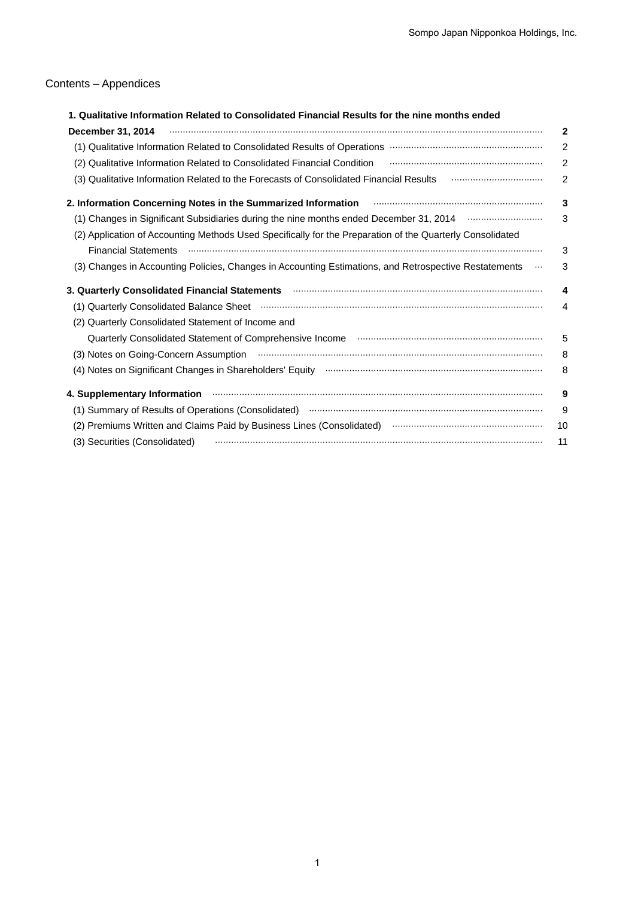# Contents – Appendices

| 1. Qualitative Information Related to Consolidated Financial Results for the nine months ended                                                                                                                                |                |
|-------------------------------------------------------------------------------------------------------------------------------------------------------------------------------------------------------------------------------|----------------|
| December 31, 2014                                                                                                                                                                                                             | $\mathbf 2$    |
|                                                                                                                                                                                                                               | $\overline{2}$ |
| (2) Qualitative Information Related to Consolidated Financial Condition <b>Construction</b> (2) Qualitative Information Related to Consolidated Financial Condition                                                           | $\overline{2}$ |
| (3) Qualitative Information Related to the Forecasts of Consolidated Financial Results <b>Construe Accepts</b> (3)                                                                                                            | $\overline{2}$ |
| 2. Information Concerning Notes in the Summarized Information <b>Conservation Concerning Concerning</b> Notes in the Summarized Information                                                                                   | 3              |
| (1) Changes in Significant Subsidiaries during the nine months ended December 31, 2014 <b>Constitution</b> City                                                                                                               | 3              |
| (2) Application of Accounting Methods Used Specifically for the Preparation of the Quarterly Consolidated                                                                                                                     |                |
| Financial Statements (and an according to the control of the control of the control of the control of the control of the control of the control of the control of the control of the control of the control of the control of | 3              |
| (3) Changes in Accounting Policies, Changes in Accounting Estimations, and Retrospective Restatements                                                                                                                         | 3              |
| 3. Quarterly Consolidated Financial Statements <b>Mateman Construct Constant Constant Constant Constant Constant</b>                                                                                                          | 4              |
|                                                                                                                                                                                                                               | $\overline{4}$ |
| (2) Quarterly Consolidated Statement of Income and                                                                                                                                                                            |                |
|                                                                                                                                                                                                                               | 5              |
| (3) Notes on Going-Concern Assumption <b>contract to the Concern Contract of Concern Concern Concern Concern Concern</b>                                                                                                      | 8              |
|                                                                                                                                                                                                                               | 8              |
| 4. Supplementary Information <b>continuum continuum continuum continuum continuum continuum continuum continuum</b>                                                                                                           | 9              |
| (1) Summary of Results of Operations (Consolidated) manufactured and continuum control of Results of Operations                                                                                                               | 9              |
| (2) Premiums Written and Claims Paid by Business Lines (Consolidated) manual content content content content                                                                                                                  | 10             |
| (3) Securities (Consolidated)                                                                                                                                                                                                 | 11             |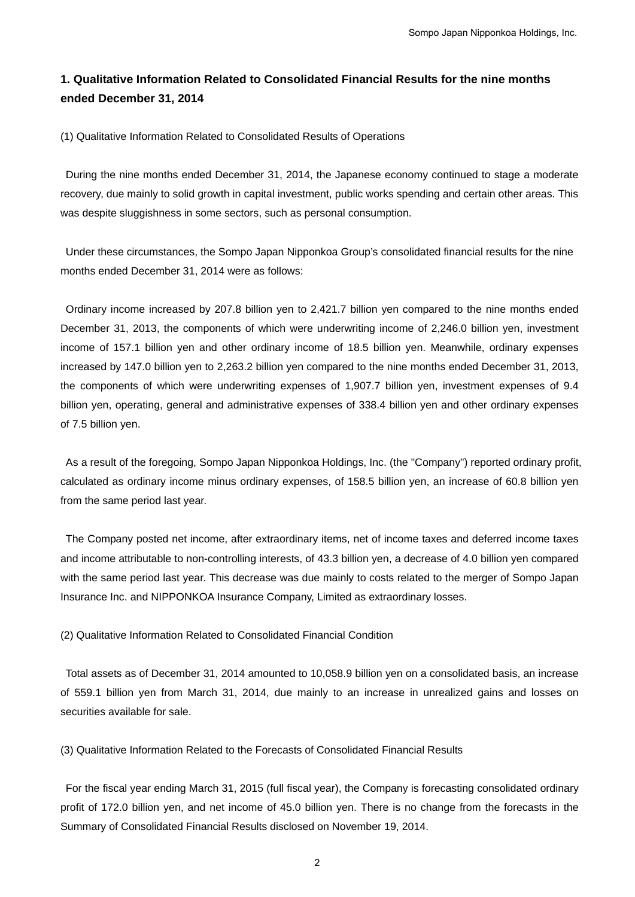# **1. Qualitative Information Related to Consolidated Financial Results for the nine months ended December 31, 2014**

(1) Qualitative Information Related to Consolidated Results of Operations

During the nine months ended December 31, 2014, the Japanese economy continued to stage a moderate recovery, due mainly to solid growth in capital investment, public works spending and certain other areas. This was despite sluggishness in some sectors, such as personal consumption.

Under these circumstances, the Sompo Japan Nipponkoa Group's consolidated financial results for the nine months ended December 31, 2014 were as follows:

Ordinary income increased by 207.8 billion yen to 2,421.7 billion yen compared to the nine months ended December 31, 2013, the components of which were underwriting income of 2,246.0 billion yen, investment income of 157.1 billion yen and other ordinary income of 18.5 billion yen. Meanwhile, ordinary expenses increased by 147.0 billion yen to 2,263.2 billion yen compared to the nine months ended December 31, 2013, the components of which were underwriting expenses of 1,907.7 billion yen, investment expenses of 9.4 billion yen, operating, general and administrative expenses of 338.4 billion yen and other ordinary expenses of 7.5 billion yen.

 As a result of the foregoing, Sompo Japan Nipponkoa Holdings, Inc. (the "Company") reported ordinary profit, calculated as ordinary income minus ordinary expenses, of 158.5 billion yen, an increase of 60.8 billion yen from the same period last year.

The Company posted net income, after extraordinary items, net of income taxes and deferred income taxes and income attributable to non-controlling interests, of 43.3 billion yen, a decrease of 4.0 billion yen compared with the same period last year. This decrease was due mainly to costs related to the merger of Sompo Japan Insurance Inc. and NIPPONKOA Insurance Company, Limited as extraordinary losses.

(2) Qualitative Information Related to Consolidated Financial Condition

Total assets as of December 31, 2014 amounted to 10,058.9 billion yen on a consolidated basis, an increase of 559.1 billion yen from March 31, 2014, due mainly to an increase in unrealized gains and losses on securities available for sale.

(3) Qualitative Information Related to the Forecasts of Consolidated Financial Results

 For the fiscal year ending March 31, 2015 (full fiscal year), the Company is forecasting consolidated ordinary profit of 172.0 billion yen, and net income of 45.0 billion yen. There is no change from the forecasts in the Summary of Consolidated Financial Results disclosed on November 19, 2014.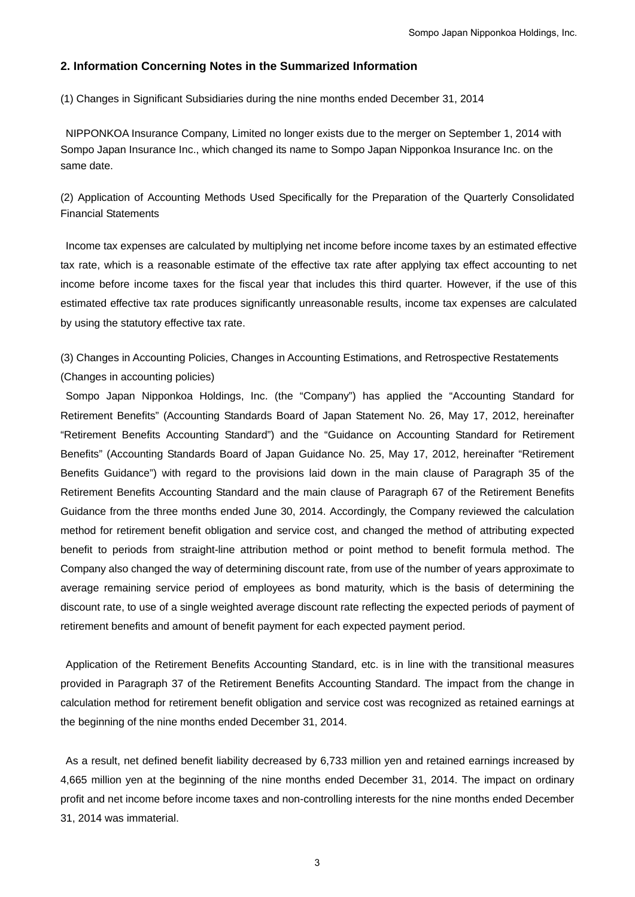## **2. Information Concerning Notes in the Summarized Information**

(1) Changes in Significant Subsidiaries during the nine months ended December 31, 2014

NIPPONKOA Insurance Company, Limited no longer exists due to the merger on September 1, 2014 with Sompo Japan Insurance Inc., which changed its name to Sompo Japan Nipponkoa Insurance Inc. on the same date.

(2) Application of Accounting Methods Used Specifically for the Preparation of the Quarterly Consolidated Financial Statements

Income tax expenses are calculated by multiplying net income before income taxes by an estimated effective tax rate, which is a reasonable estimate of the effective tax rate after applying tax effect accounting to net income before income taxes for the fiscal year that includes this third quarter. However, if the use of this estimated effective tax rate produces significantly unreasonable results, income tax expenses are calculated by using the statutory effective tax rate.

(3) Changes in Accounting Policies, Changes in Accounting Estimations, and Retrospective Restatements (Changes in accounting policies)

Sompo Japan Nipponkoa Holdings, Inc. (the "Company") has applied the "Accounting Standard for Retirement Benefits" (Accounting Standards Board of Japan Statement No. 26, May 17, 2012, hereinafter "Retirement Benefits Accounting Standard") and the "Guidance on Accounting Standard for Retirement Benefits" (Accounting Standards Board of Japan Guidance No. 25, May 17, 2012, hereinafter "Retirement Benefits Guidance") with regard to the provisions laid down in the main clause of Paragraph 35 of the Retirement Benefits Accounting Standard and the main clause of Paragraph 67 of the Retirement Benefits Guidance from the three months ended June 30, 2014. Accordingly, the Company reviewed the calculation method for retirement benefit obligation and service cost, and changed the method of attributing expected benefit to periods from straight-line attribution method or point method to benefit formula method. The Company also changed the way of determining discount rate, from use of the number of years approximate to average remaining service period of employees as bond maturity, which is the basis of determining the discount rate, to use of a single weighted average discount rate reflecting the expected periods of payment of retirement benefits and amount of benefit payment for each expected payment period.

Application of the Retirement Benefits Accounting Standard, etc. is in line with the transitional measures provided in Paragraph 37 of the Retirement Benefits Accounting Standard. The impact from the change in calculation method for retirement benefit obligation and service cost was recognized as retained earnings at the beginning of the nine months ended December 31, 2014.

As a result, net defined benefit liability decreased by 6,733 million yen and retained earnings increased by 4,665 million yen at the beginning of the nine months ended December 31, 2014. The impact on ordinary profit and net income before income taxes and non-controlling interests for the nine months ended December 31, 2014 was immaterial.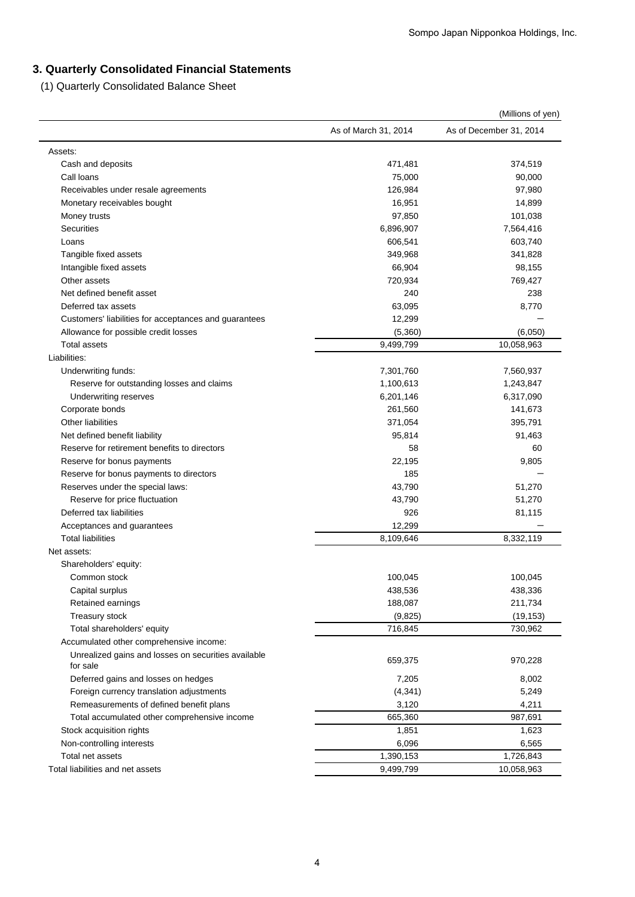# **3. Quarterly Consolidated Financial Statements**

(1) Quarterly Consolidated Balance Sheet

|                                                       | (Millions of yen)    |                         |  |
|-------------------------------------------------------|----------------------|-------------------------|--|
|                                                       | As of March 31, 2014 | As of December 31, 2014 |  |
| Assets:                                               |                      |                         |  |
| Cash and deposits                                     | 471,481              | 374,519                 |  |
| Call loans                                            | 75,000               | 90,000                  |  |
| Receivables under resale agreements                   | 126,984              | 97,980                  |  |
| Monetary receivables bought                           | 16,951               | 14,899                  |  |
| Money trusts                                          | 97,850               | 101,038                 |  |
| <b>Securities</b>                                     | 6,896,907            | 7,564,416               |  |
| Loans                                                 | 606,541              | 603,740                 |  |
| Tangible fixed assets                                 | 349,968              | 341,828                 |  |
| Intangible fixed assets                               | 66,904               | 98,155                  |  |
| Other assets                                          | 720,934              | 769,427                 |  |
| Net defined benefit asset                             | 240                  | 238                     |  |
| Deferred tax assets                                   | 63,095               | 8,770                   |  |
| Customers' liabilities for acceptances and guarantees | 12,299               |                         |  |
| Allowance for possible credit losses                  | (5,360)              | (6,050)                 |  |
| <b>Total assets</b>                                   | 9,499,799            | 10,058,963              |  |
| Liabilities:                                          |                      |                         |  |
| Underwriting funds:                                   | 7,301,760            | 7,560,937               |  |
| Reserve for outstanding losses and claims             | 1,100,613            | 1,243,847               |  |
| Underwriting reserves                                 | 6,201,146            | 6,317,090               |  |
| Corporate bonds                                       | 261,560              | 141,673                 |  |
| <b>Other liabilities</b>                              | 371,054              | 395,791                 |  |
| Net defined benefit liability                         | 95,814               | 91,463                  |  |
| Reserve for retirement benefits to directors          | 58                   | 60                      |  |
| Reserve for bonus payments                            | 22,195               | 9,805                   |  |
| Reserve for bonus payments to directors               | 185                  |                         |  |
| Reserves under the special laws:                      | 43,790               | 51,270                  |  |
| Reserve for price fluctuation                         | 43,790               | 51,270                  |  |
| Deferred tax liabilities                              | 926                  | 81,115                  |  |
| Acceptances and guarantees                            | 12,299               |                         |  |
| <b>Total liabilities</b>                              | 8,109,646            | 8,332,119               |  |
| Net assets:                                           |                      |                         |  |
| Shareholders' equity:                                 |                      |                         |  |
| Common stock                                          | 100,045              | 100,045                 |  |
| Capital surplus                                       | 438,536              | 438,336                 |  |
| Retained earnings                                     | 188,087              | 211,734                 |  |
| Treasury stock                                        | (9,825)              | (19, 153)               |  |
| Total shareholders' equity                            | 716,845              | 730,962                 |  |
| Accumulated other comprehensive income:               |                      |                         |  |
| Unrealized gains and losses on securities available   |                      |                         |  |
| for sale                                              | 659,375              | 970,228                 |  |
| Deferred gains and losses on hedges                   | 7,205                | 8,002                   |  |
| Foreign currency translation adjustments              | (4, 341)             | 5,249                   |  |
| Remeasurements of defined benefit plans               | 3,120                | 4,211                   |  |
| Total accumulated other comprehensive income          | 665,360              | 987,691                 |  |
| Stock acquisition rights                              | 1,851                | 1,623                   |  |
| Non-controlling interests                             | 6,096                | 6,565                   |  |
| Total net assets                                      | 1,390,153            | 1,726,843               |  |
| Total liabilities and net assets                      | 9,499,799            | 10,058,963              |  |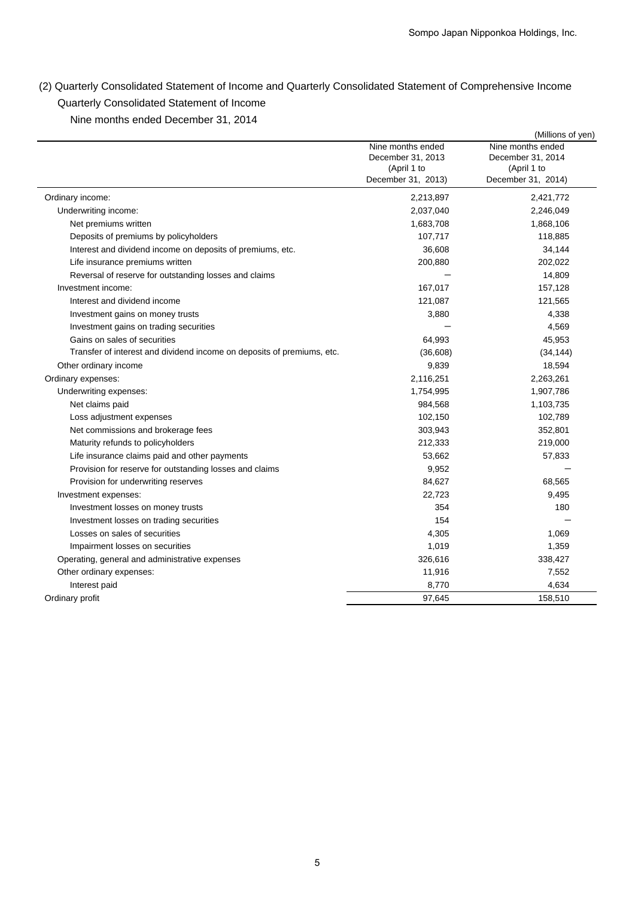(2) Quarterly Consolidated Statement of Income and Quarterly Consolidated Statement of Comprehensive Income Quarterly Consolidated Statement of Income

Nine months ended December 31, 2014

|                                                                        |                                                                             | (Millions of yen)                                                           |
|------------------------------------------------------------------------|-----------------------------------------------------------------------------|-----------------------------------------------------------------------------|
|                                                                        | Nine months ended<br>December 31, 2013<br>(April 1 to<br>December 31, 2013) | Nine months ended<br>December 31, 2014<br>(April 1 to<br>December 31, 2014) |
| Ordinary income:                                                       | 2,213,897                                                                   | 2,421,772                                                                   |
| Underwriting income:                                                   | 2,037,040                                                                   | 2,246,049                                                                   |
| Net premiums written                                                   | 1,683,708                                                                   | 1,868,106                                                                   |
| Deposits of premiums by policyholders                                  | 107,717                                                                     | 118,885                                                                     |
| Interest and dividend income on deposits of premiums, etc.             | 36,608                                                                      | 34,144                                                                      |
| Life insurance premiums written                                        | 200,880                                                                     | 202,022                                                                     |
| Reversal of reserve for outstanding losses and claims                  |                                                                             | 14,809                                                                      |
| Investment income:                                                     | 167,017                                                                     | 157,128                                                                     |
| Interest and dividend income                                           | 121,087                                                                     | 121,565                                                                     |
| Investment gains on money trusts                                       | 3,880                                                                       | 4,338                                                                       |
| Investment gains on trading securities                                 |                                                                             | 4,569                                                                       |
| Gains on sales of securities                                           | 64,993                                                                      | 45,953                                                                      |
| Transfer of interest and dividend income on deposits of premiums, etc. | (36,608)                                                                    | (34, 144)                                                                   |
| Other ordinary income                                                  | 9,839                                                                       | 18,594                                                                      |
| Ordinary expenses:                                                     | 2,116,251                                                                   | 2,263,261                                                                   |
| Underwriting expenses:                                                 | 1,754,995                                                                   | 1,907,786                                                                   |
| Net claims paid                                                        | 984,568                                                                     | 1,103,735                                                                   |
| Loss adjustment expenses                                               | 102,150                                                                     | 102,789                                                                     |
| Net commissions and brokerage fees                                     | 303,943                                                                     | 352,801                                                                     |
| Maturity refunds to policyholders                                      | 212,333                                                                     | 219,000                                                                     |
| Life insurance claims paid and other payments                          | 53,662                                                                      | 57,833                                                                      |
| Provision for reserve for outstanding losses and claims                | 9,952                                                                       |                                                                             |
| Provision for underwriting reserves                                    | 84,627                                                                      | 68,565                                                                      |
| Investment expenses:                                                   | 22,723                                                                      | 9,495                                                                       |
| Investment losses on money trusts                                      | 354                                                                         | 180                                                                         |
| Investment losses on trading securities                                | 154                                                                         |                                                                             |
| Losses on sales of securities                                          | 4,305                                                                       | 1,069                                                                       |
| Impairment losses on securities                                        | 1,019                                                                       | 1,359                                                                       |
| Operating, general and administrative expenses                         | 326,616                                                                     | 338,427                                                                     |
| Other ordinary expenses:                                               | 11,916                                                                      | 7,552                                                                       |
| Interest paid                                                          | 8,770                                                                       | 4,634                                                                       |
| Ordinary profit                                                        | 97,645                                                                      | 158,510                                                                     |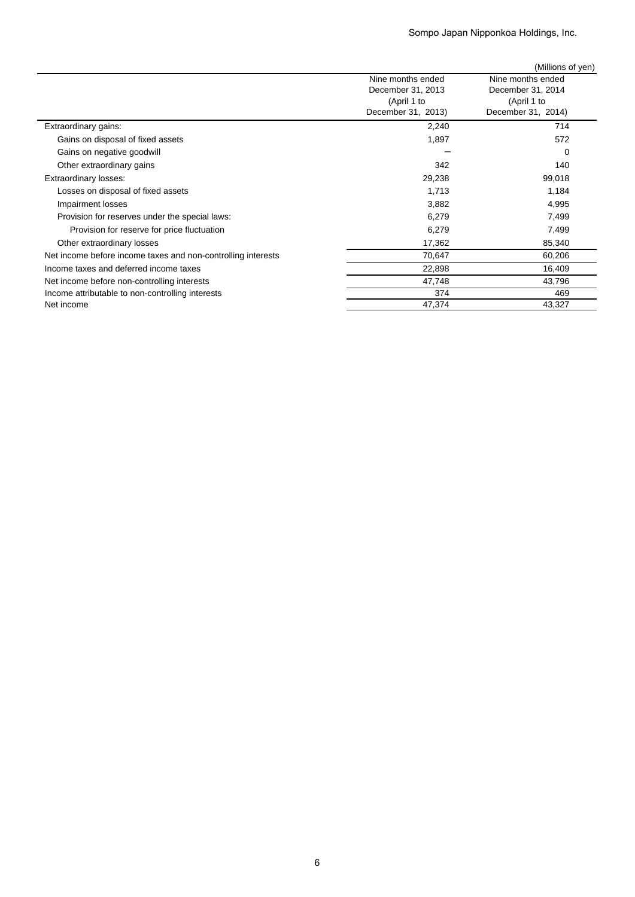|                                                              |                                                                             | (Millions of yen)                                                           |
|--------------------------------------------------------------|-----------------------------------------------------------------------------|-----------------------------------------------------------------------------|
|                                                              | Nine months ended<br>December 31, 2013<br>(April 1 to<br>December 31, 2013) | Nine months ended<br>December 31, 2014<br>(April 1 to<br>December 31, 2014) |
| Extraordinary gains:                                         | 2,240                                                                       | 714                                                                         |
| Gains on disposal of fixed assets                            | 1,897                                                                       | 572                                                                         |
| Gains on negative goodwill                                   |                                                                             | 0                                                                           |
| Other extraordinary gains                                    | 342                                                                         | 140                                                                         |
| <b>Extraordinary losses:</b>                                 | 29,238                                                                      | 99,018                                                                      |
| Losses on disposal of fixed assets                           | 1,713                                                                       | 1,184                                                                       |
| Impairment losses                                            | 3,882                                                                       | 4,995                                                                       |
| Provision for reserves under the special laws:               | 6,279                                                                       | 7,499                                                                       |
| Provision for reserve for price fluctuation                  | 6,279                                                                       | 7,499                                                                       |
| Other extraordinary losses                                   | 17,362                                                                      | 85,340                                                                      |
| Net income before income taxes and non-controlling interests | 70,647                                                                      | 60,206                                                                      |
| Income taxes and deferred income taxes                       | 22,898                                                                      | 16,409                                                                      |
| Net income before non-controlling interests                  | 47,748                                                                      | 43,796                                                                      |
| Income attributable to non-controlling interests             | 374                                                                         | 469                                                                         |
| Net income                                                   | 47,374                                                                      | 43,327                                                                      |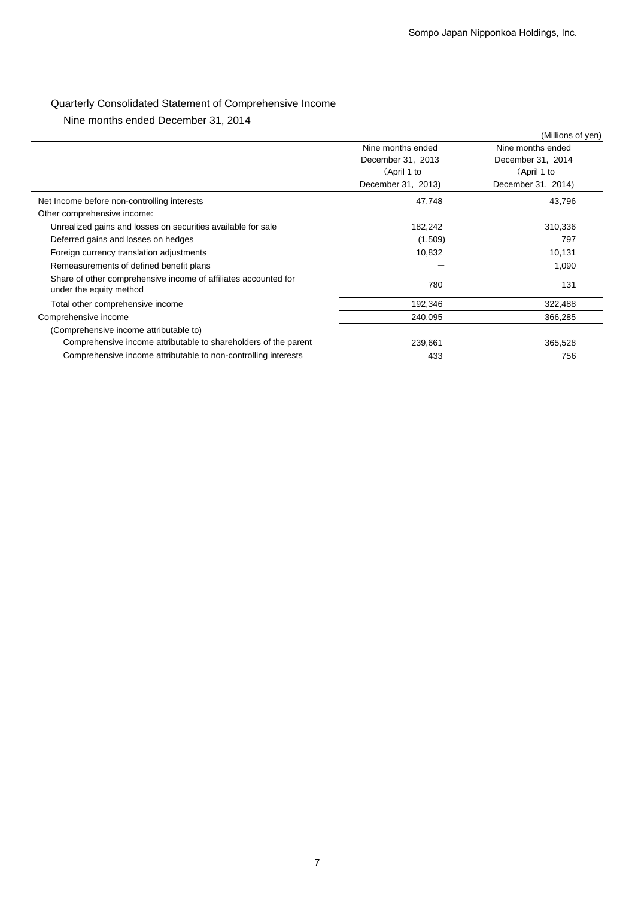# Quarterly Consolidated Statement of Comprehensive Income

Nine months ended December 31, 2014

|                                                                                            |                    | (Millions of yen)  |
|--------------------------------------------------------------------------------------------|--------------------|--------------------|
|                                                                                            | Nine months ended  | Nine months ended  |
|                                                                                            | December 31, 2013  | December 31, 2014  |
|                                                                                            | (April 1 to        | (April 1 to        |
|                                                                                            | December 31, 2013) | December 31, 2014) |
| Net Income before non-controlling interests                                                | 47,748             | 43,796             |
| Other comprehensive income:                                                                |                    |                    |
| Unrealized gains and losses on securities available for sale                               | 182,242            | 310,336            |
| Deferred gains and losses on hedges                                                        | (1,509)            | 797                |
| Foreign currency translation adjustments                                                   | 10,832             | 10,131             |
| Remeasurements of defined benefit plans                                                    |                    | 1,090              |
| Share of other comprehensive income of affiliates accounted for<br>under the equity method | 780                | 131                |
| Total other comprehensive income                                                           | 192,346            | 322,488            |
| Comprehensive income                                                                       | 240,095            | 366,285            |
| (Comprehensive income attributable to)                                                     |                    |                    |
| Comprehensive income attributable to shareholders of the parent                            | 239,661            | 365,528            |
| Comprehensive income attributable to non-controlling interests                             | 433                | 756                |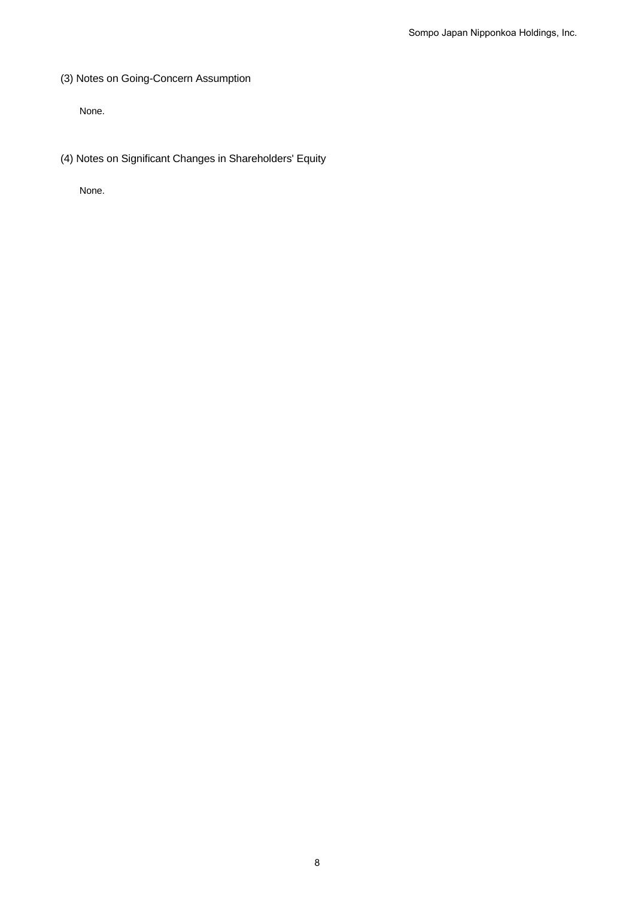(3) Notes on Going-Concern Assumption

None.

(4) Notes on Significant Changes in Shareholders' Equity

None.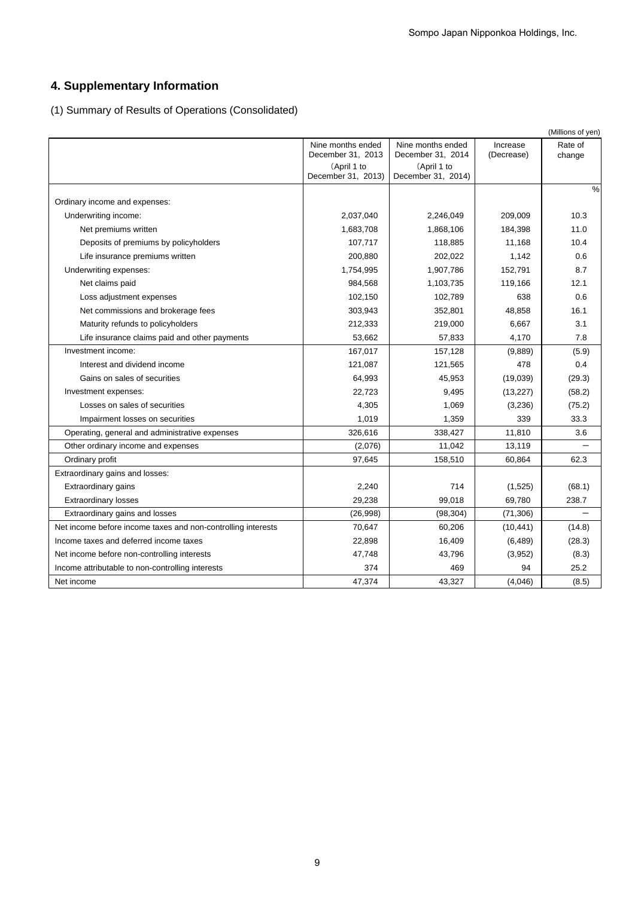# **4. Supplementary Information**

(1) Summary of Results of Operations (Consolidated)

|                                                              |                                        |                                        |                        | (Millions of yen) |
|--------------------------------------------------------------|----------------------------------------|----------------------------------------|------------------------|-------------------|
|                                                              | Nine months ended<br>December 31, 2013 | Nine months ended<br>December 31, 2014 | Increase<br>(Decrease) | Rate of<br>change |
|                                                              | (April 1 to<br>December 31, 2013)      | (April 1 to<br>December 31, 2014)      |                        |                   |
| Ordinary income and expenses:                                |                                        |                                        |                        | $\frac{0}{0}$     |
| Underwriting income:                                         | 2,037,040                              | 2,246,049                              | 209,009                | 10.3              |
| Net premiums written                                         | 1,683,708                              | 1,868,106                              | 184,398                | 11.0              |
| Deposits of premiums by policyholders                        | 107,717                                | 118,885                                | 11,168                 | 10.4              |
| Life insurance premiums written                              | 200,880                                | 202,022                                | 1,142                  | 0.6               |
| Underwriting expenses:                                       | 1,754,995                              | 1,907,786                              | 152,791                | 8.7               |
| Net claims paid                                              | 984,568                                | 1,103,735                              | 119,166                | 12.1              |
| Loss adjustment expenses                                     | 102,150                                | 102,789                                | 638                    | 0.6               |
| Net commissions and brokerage fees                           | 303,943                                | 352,801                                | 48,858                 | 16.1              |
| Maturity refunds to policyholders                            | 212,333                                | 219,000                                | 6,667                  | 3.1               |
| Life insurance claims paid and other payments                | 53,662                                 | 57,833                                 | 4,170                  | 7.8               |
| Investment income:                                           | 167,017                                | 157,128                                | (9,889)                | (5.9)             |
| Interest and dividend income                                 | 121,087                                | 121,565                                | 478                    | 0.4               |
| Gains on sales of securities                                 | 64,993                                 | 45,953                                 | (19,039)               | (29.3)            |
| Investment expenses:                                         | 22,723                                 | 9,495                                  | (13, 227)              | (58.2)            |
| Losses on sales of securities                                | 4,305                                  | 1,069                                  | (3,236)                | (75.2)            |
| Impairment losses on securities                              | 1,019                                  | 1,359                                  | 339                    | 33.3              |
| Operating, general and administrative expenses               | 326,616                                | 338,427                                | 11,810                 | 3.6               |
| Other ordinary income and expenses                           | (2,076)                                | 11,042                                 | 13,119                 |                   |
| Ordinary profit                                              | 97,645                                 | 158,510                                | 60,864                 | 62.3              |
| Extraordinary gains and losses:                              |                                        |                                        |                        |                   |
| <b>Extraordinary gains</b>                                   | 2,240                                  | 714                                    | (1,525)                | (68.1)            |
| <b>Extraordinary losses</b>                                  | 29,238                                 | 99,018                                 | 69,780                 | 238.7             |
| Extraordinary gains and losses                               | (26,998)                               | (98, 304)                              | (71, 306)              |                   |
| Net income before income taxes and non-controlling interests | 70,647                                 | 60,206                                 | (10, 441)              | (14.8)            |
| Income taxes and deferred income taxes                       | 22,898                                 | 16,409                                 | (6, 489)               | (28.3)            |
| Net income before non-controlling interests                  | 47,748                                 | 43,796                                 | (3,952)                | (8.3)             |
| Income attributable to non-controlling interests             | 374                                    | 469                                    | 94                     | 25.2              |
| Net income                                                   | 47,374                                 | 43,327                                 | (4,046)                | (8.5)             |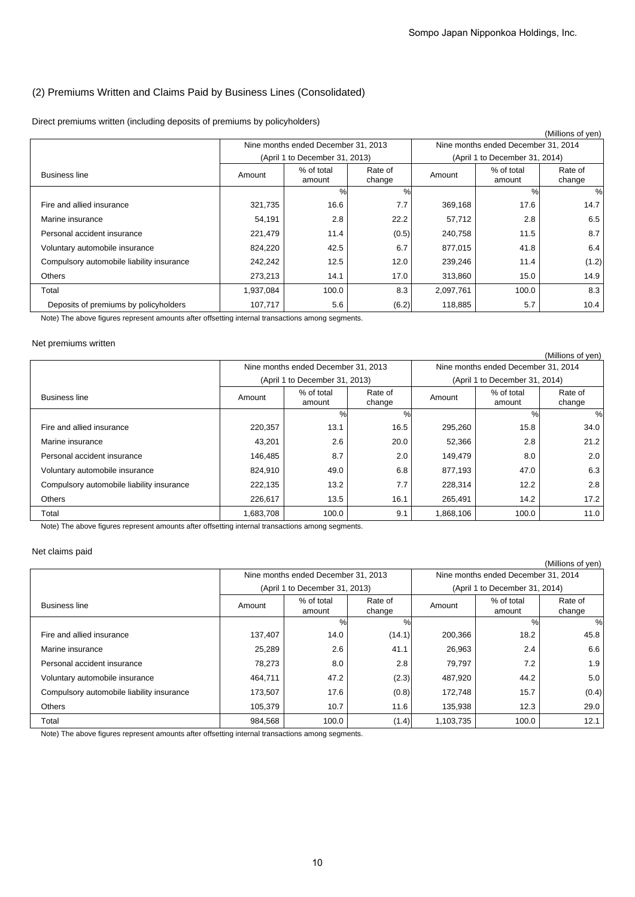## (2) Premiums Written and Claims Paid by Business Lines (Consolidated)

Direct premiums written (including deposits of premiums by policyholders)

|                                           |           |                                           |       |           |                                     | (Millions of yen) |
|-------------------------------------------|-----------|-------------------------------------------|-------|-----------|-------------------------------------|-------------------|
|                                           |           | Nine months ended December 31, 2013       |       |           | Nine months ended December 31, 2014 |                   |
|                                           |           | (April 1 to December 31, 2013)            |       |           | (April 1 to December 31, 2014)      |                   |
| <b>Business line</b>                      | Amount    | % of total<br>Rate of<br>change<br>amount |       | Amount    | % of total<br>amount                | Rate of<br>change |
|                                           |           | $\%$                                      | %     |           | $\%$                                | $\frac{0}{0}$     |
| Fire and allied insurance                 | 321,735   | 16.6                                      | 7.7   | 369,168   | 17.6                                | 14.7              |
| Marine insurance                          | 54,191    | 2.8                                       | 22.2  | 57,712    | 2.8                                 | 6.5               |
| Personal accident insurance               | 221,479   | 11.4                                      | (0.5) | 240,758   | 11.5                                | 8.7               |
| Voluntary automobile insurance            | 824,220   | 42.5                                      | 6.7   | 877,015   | 41.8                                | 6.4               |
| Compulsory automobile liability insurance | 242,242   | 12.5                                      | 12.0  | 239,246   | 11.4                                | (1.2)             |
| <b>Others</b>                             | 273,213   | 14.1                                      | 17.0  | 313,860   | 15.0                                | 14.9              |
| Total                                     | 1,937,084 | 100.0                                     | 8.3   | 2,097,761 | 100.0                               | 8.3               |
| Deposits of premiums by policyholders     | 107,717   | 5.6                                       | (6.2) | 118,885   | 5.7                                 | 10.4              |

Note) The above figures represent amounts after offsetting internal transactions among segments.

### Net premiums written

|                                           |                                                     |                                     |        |                      |                                     | (Millions of yen) |
|-------------------------------------------|-----------------------------------------------------|-------------------------------------|--------|----------------------|-------------------------------------|-------------------|
|                                           |                                                     | Nine months ended December 31, 2013 |        |                      | Nine months ended December 31, 2014 |                   |
|                                           |                                                     | (April 1 to December 31, 2013)      |        |                      | (April 1 to December 31, 2014)      |                   |
| <b>Business line</b>                      | % of total<br>Rate of<br>Amount<br>change<br>amount |                                     | Amount | % of total<br>amount | Rate of<br>change                   |                   |
|                                           |                                                     | %                                   | %      |                      | %                                   | %                 |
| Fire and allied insurance                 | 220,357                                             | 13.1                                | 16.5   | 295,260              | 15.8                                | 34.0              |
| Marine insurance                          | 43,201                                              | 2.6                                 | 20.0   | 52,366               | 2.8                                 | 21.2              |
| Personal accident insurance               | 146,485                                             | 8.7                                 | 2.0    | 149,479              | 8.0                                 | 2.0               |
| Voluntary automobile insurance            | 824,910                                             | 49.0                                | 6.8    | 877,193              | 47.0                                | 6.3               |
| Compulsory automobile liability insurance | 222,135                                             | 13.2                                | 7.7    | 228,314              | 12.2                                | 2.8               |
| <b>Others</b>                             | 226,617                                             | 13.5                                | 16.1   | 265,491              | 14.2                                | 17.2              |
| Total                                     | 1,683,708                                           | 100.0                               | 9.1    | 1,868,106            | 100.0                               | 11.0              |

Note) The above figures represent amounts after offsetting internal transactions among segments.

### Net claims paid

|                                           |         |                                           |        |           |                                     | (Millions of yen) |
|-------------------------------------------|---------|-------------------------------------------|--------|-----------|-------------------------------------|-------------------|
|                                           |         | Nine months ended December 31, 2013       |        |           | Nine months ended December 31, 2014 |                   |
|                                           |         | (April 1 to December 31, 2013)            |        |           | (April 1 to December 31, 2014)      |                   |
| <b>Business line</b>                      | Amount  | % of total<br>Rate of<br>change<br>amount |        | Amount    | % of total<br>amount                | Rate of<br>change |
|                                           |         | %                                         | %      |           | %                                   | $\frac{0}{0}$     |
| Fire and allied insurance                 | 137,407 | 14.0                                      | (14.1) | 200,366   | 18.2                                | 45.8              |
| Marine insurance                          | 25,289  | 2.6                                       | 41.1   | 26,963    | 2.4                                 | 6.6               |
| Personal accident insurance               | 78,273  | 8.0                                       | 2.8    | 79,797    | 7.2                                 | 1.9               |
| Voluntary automobile insurance            | 464,711 | 47.2                                      | (2.3)  | 487,920   | 44.2                                | 5.0               |
| Compulsory automobile liability insurance | 173,507 | 17.6                                      | (0.8)  | 172,748   | 15.7                                | (0.4)             |
| Others                                    | 105.379 | 10.7                                      | 11.6   | 135,938   | 12.3                                | 29.0              |
| Total                                     | 984,568 | 100.0                                     | (1.4)  | 1,103,735 | 100.0                               | 12.1              |

Note) The above figures represent amounts after offsetting internal transactions among segments.